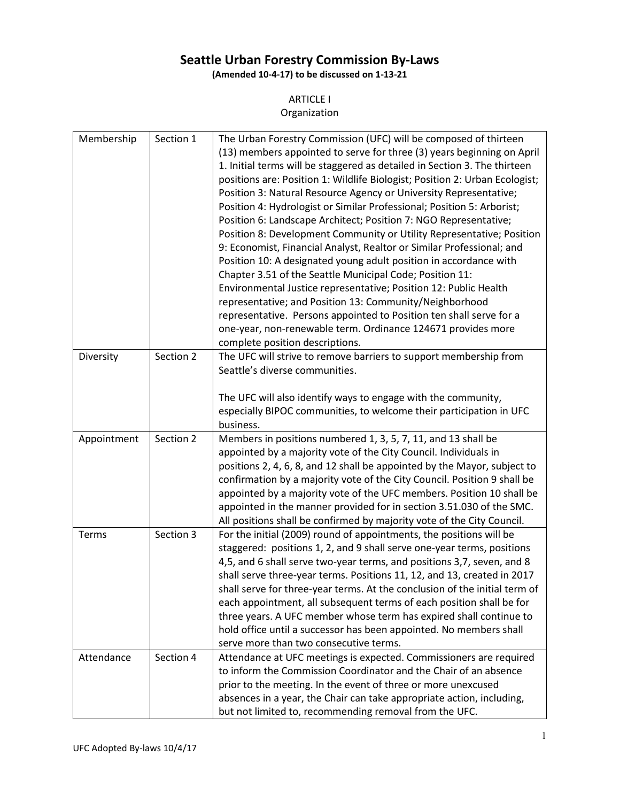# **Seattle Urban Forestry Commission By-Laws**

**(Amended 10-4-17) to be discussed on 1-13-21**

### ARTICLE I

Organization

| Membership  | Section 1 | The Urban Forestry Commission (UFC) will be composed of thirteen<br>(13) members appointed to serve for three (3) years beginning on April<br>1. Initial terms will be staggered as detailed in Section 3. The thirteen<br>positions are: Position 1: Wildlife Biologist; Position 2: Urban Ecologist;<br>Position 3: Natural Resource Agency or University Representative;<br>Position 4: Hydrologist or Similar Professional; Position 5: Arborist;<br>Position 6: Landscape Architect; Position 7: NGO Representative;<br>Position 8: Development Community or Utility Representative; Position<br>9: Economist, Financial Analyst, Realtor or Similar Professional; and<br>Position 10: A designated young adult position in accordance with<br>Chapter 3.51 of the Seattle Municipal Code; Position 11:<br>Environmental Justice representative; Position 12: Public Health<br>representative; and Position 13: Community/Neighborhood<br>representative. Persons appointed to Position ten shall serve for a<br>one-year, non-renewable term. Ordinance 124671 provides more |
|-------------|-----------|------------------------------------------------------------------------------------------------------------------------------------------------------------------------------------------------------------------------------------------------------------------------------------------------------------------------------------------------------------------------------------------------------------------------------------------------------------------------------------------------------------------------------------------------------------------------------------------------------------------------------------------------------------------------------------------------------------------------------------------------------------------------------------------------------------------------------------------------------------------------------------------------------------------------------------------------------------------------------------------------------------------------------------------------------------------------------------|
|             |           | complete position descriptions.                                                                                                                                                                                                                                                                                                                                                                                                                                                                                                                                                                                                                                                                                                                                                                                                                                                                                                                                                                                                                                                    |
| Diversity   | Section 2 | The UFC will strive to remove barriers to support membership from<br>Seattle's diverse communities.<br>The UFC will also identify ways to engage with the community,<br>especially BIPOC communities, to welcome their participation in UFC<br>business.                                                                                                                                                                                                                                                                                                                                                                                                                                                                                                                                                                                                                                                                                                                                                                                                                           |
| Appointment | Section 2 | Members in positions numbered 1, 3, 5, 7, 11, and 13 shall be                                                                                                                                                                                                                                                                                                                                                                                                                                                                                                                                                                                                                                                                                                                                                                                                                                                                                                                                                                                                                      |
|             |           | appointed by a majority vote of the City Council. Individuals in<br>positions 2, 4, 6, 8, and 12 shall be appointed by the Mayor, subject to<br>confirmation by a majority vote of the City Council. Position 9 shall be<br>appointed by a majority vote of the UFC members. Position 10 shall be<br>appointed in the manner provided for in section 3.51.030 of the SMC.<br>All positions shall be confirmed by majority vote of the City Council.                                                                                                                                                                                                                                                                                                                                                                                                                                                                                                                                                                                                                                |
| Terms       | Section 3 | For the initial (2009) round of appointments, the positions will be<br>staggered: positions 1, 2, and 9 shall serve one-year terms, positions<br>4,5, and 6 shall serve two-year terms, and positions 3,7, seven, and 8<br>shall serve three-year terms. Positions 11, 12, and 13, created in 2017<br>shall serve for three-year terms. At the conclusion of the initial term of<br>each appointment, all subsequent terms of each position shall be for<br>three years. A UFC member whose term has expired shall continue to<br>hold office until a successor has been appointed. No members shall<br>serve more than two consecutive terms.                                                                                                                                                                                                                                                                                                                                                                                                                                     |
| Attendance  | Section 4 | Attendance at UFC meetings is expected. Commissioners are required<br>to inform the Commission Coordinator and the Chair of an absence<br>prior to the meeting. In the event of three or more unexcused<br>absences in a year, the Chair can take appropriate action, including,<br>but not limited to, recommending removal from the UFC.                                                                                                                                                                                                                                                                                                                                                                                                                                                                                                                                                                                                                                                                                                                                         |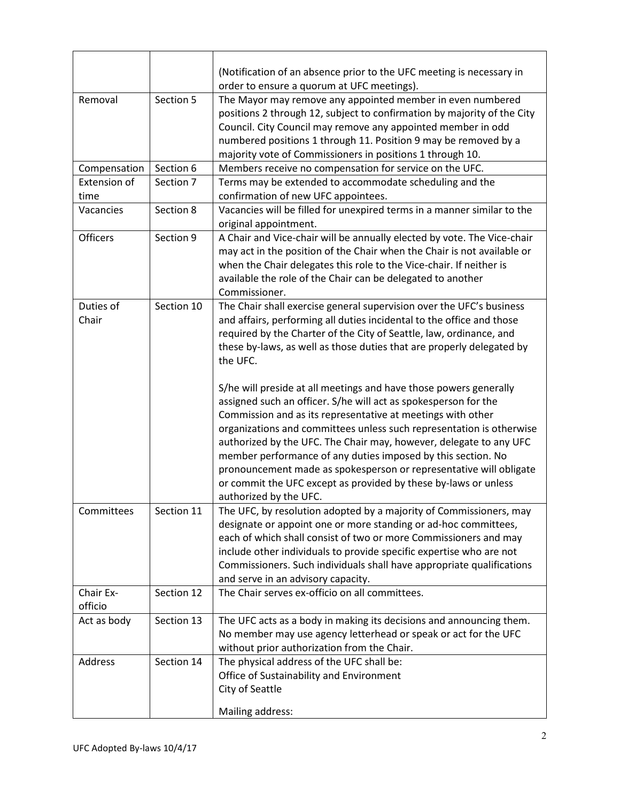|                      |            | (Notification of an absence prior to the UFC meeting is necessary in                                                                                                                                                                                                                                                                                                                                                                                                                                            |
|----------------------|------------|-----------------------------------------------------------------------------------------------------------------------------------------------------------------------------------------------------------------------------------------------------------------------------------------------------------------------------------------------------------------------------------------------------------------------------------------------------------------------------------------------------------------|
|                      |            | order to ensure a quorum at UFC meetings).                                                                                                                                                                                                                                                                                                                                                                                                                                                                      |
| Removal              | Section 5  | The Mayor may remove any appointed member in even numbered<br>positions 2 through 12, subject to confirmation by majority of the City<br>Council. City Council may remove any appointed member in odd<br>numbered positions 1 through 11. Position 9 may be removed by a<br>majority vote of Commissioners in positions 1 through 10.                                                                                                                                                                           |
| Compensation         | Section 6  | Members receive no compensation for service on the UFC.                                                                                                                                                                                                                                                                                                                                                                                                                                                         |
| Extension of<br>time | Section 7  | Terms may be extended to accommodate scheduling and the<br>confirmation of new UFC appointees.                                                                                                                                                                                                                                                                                                                                                                                                                  |
| Vacancies            | Section 8  | Vacancies will be filled for unexpired terms in a manner similar to the<br>original appointment.                                                                                                                                                                                                                                                                                                                                                                                                                |
| <b>Officers</b>      | Section 9  | A Chair and Vice-chair will be annually elected by vote. The Vice-chair<br>may act in the position of the Chair when the Chair is not available or<br>when the Chair delegates this role to the Vice-chair. If neither is<br>available the role of the Chair can be delegated to another<br>Commissioner.                                                                                                                                                                                                       |
| Duties of<br>Chair   | Section 10 | The Chair shall exercise general supervision over the UFC's business<br>and affairs, performing all duties incidental to the office and those<br>required by the Charter of the City of Seattle, law, ordinance, and<br>these by-laws, as well as those duties that are properly delegated by<br>the UFC.<br>S/he will preside at all meetings and have those powers generally                                                                                                                                  |
|                      |            | assigned such an officer. S/he will act as spokesperson for the<br>Commission and as its representative at meetings with other<br>organizations and committees unless such representation is otherwise<br>authorized by the UFC. The Chair may, however, delegate to any UFC<br>member performance of any duties imposed by this section. No<br>pronouncement made as spokesperson or representative will obligate<br>or commit the UFC except as provided by these by-laws or unless<br>authorized by the UFC. |
| Committees           | Section 11 | The UFC, by resolution adopted by a majority of Commissioners, may<br>designate or appoint one or more standing or ad-hoc committees,<br>each of which shall consist of two or more Commissioners and may<br>include other individuals to provide specific expertise who are not<br>Commissioners. Such individuals shall have appropriate qualifications<br>and serve in an advisory capacity.                                                                                                                 |
| Chair Ex-<br>officio | Section 12 | The Chair serves ex-officio on all committees.                                                                                                                                                                                                                                                                                                                                                                                                                                                                  |
| Act as body          | Section 13 | The UFC acts as a body in making its decisions and announcing them.<br>No member may use agency letterhead or speak or act for the UFC<br>without prior authorization from the Chair.                                                                                                                                                                                                                                                                                                                           |
| Address              | Section 14 | The physical address of the UFC shall be:<br>Office of Sustainability and Environment<br>City of Seattle<br>Mailing address:                                                                                                                                                                                                                                                                                                                                                                                    |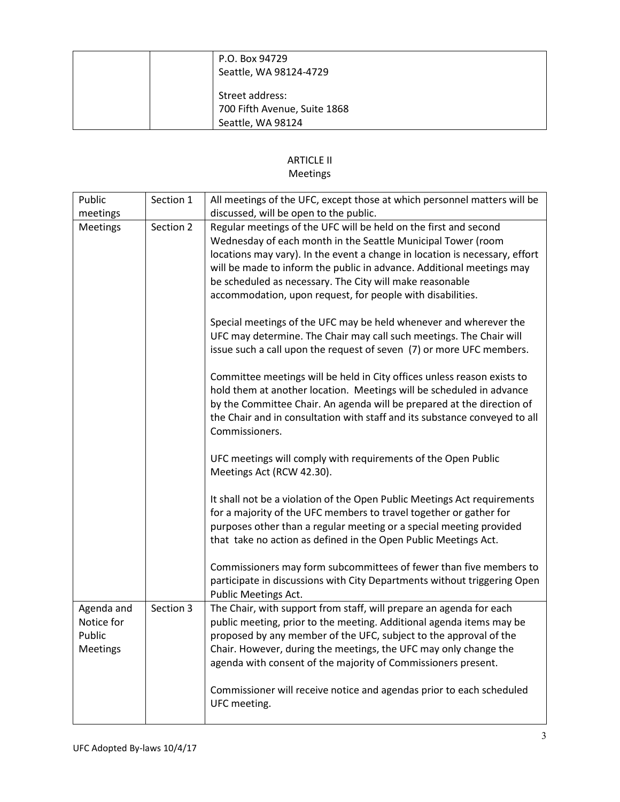| P.O. Box 94729<br>Seattle, WA 98124-4729                             |
|----------------------------------------------------------------------|
| Street address:<br>700 Fifth Avenue, Suite 1868<br>Seattle, WA 98124 |

## ARTICLE II

## Meetings

| Public          | Section 1 | All meetings of the UFC, except those at which personnel matters will be                                                                                                                                                                                                                                                  |
|-----------------|-----------|---------------------------------------------------------------------------------------------------------------------------------------------------------------------------------------------------------------------------------------------------------------------------------------------------------------------------|
| meetings        |           | discussed, will be open to the public.                                                                                                                                                                                                                                                                                    |
| <b>Meetings</b> | Section 2 | Regular meetings of the UFC will be held on the first and second                                                                                                                                                                                                                                                          |
|                 |           | Wednesday of each month in the Seattle Municipal Tower (room                                                                                                                                                                                                                                                              |
|                 |           | locations may vary). In the event a change in location is necessary, effort                                                                                                                                                                                                                                               |
|                 |           | will be made to inform the public in advance. Additional meetings may                                                                                                                                                                                                                                                     |
|                 |           | be scheduled as necessary. The City will make reasonable                                                                                                                                                                                                                                                                  |
|                 |           | accommodation, upon request, for people with disabilities.                                                                                                                                                                                                                                                                |
|                 |           | Special meetings of the UFC may be held whenever and wherever the<br>UFC may determine. The Chair may call such meetings. The Chair will<br>issue such a call upon the request of seven (7) or more UFC members.                                                                                                          |
|                 |           | Committee meetings will be held in City offices unless reason exists to<br>hold them at another location. Meetings will be scheduled in advance<br>by the Committee Chair. An agenda will be prepared at the direction of<br>the Chair and in consultation with staff and its substance conveyed to all<br>Commissioners. |
|                 |           | UFC meetings will comply with requirements of the Open Public<br>Meetings Act (RCW 42.30).                                                                                                                                                                                                                                |
|                 |           | It shall not be a violation of the Open Public Meetings Act requirements<br>for a majority of the UFC members to travel together or gather for<br>purposes other than a regular meeting or a special meeting provided<br>that take no action as defined in the Open Public Meetings Act.                                  |
|                 |           | Commissioners may form subcommittees of fewer than five members to<br>participate in discussions with City Departments without triggering Open<br>Public Meetings Act.                                                                                                                                                    |
| Agenda and      | Section 3 | The Chair, with support from staff, will prepare an agenda for each                                                                                                                                                                                                                                                       |
| Notice for      |           | public meeting, prior to the meeting. Additional agenda items may be                                                                                                                                                                                                                                                      |
| Public          |           | proposed by any member of the UFC, subject to the approval of the                                                                                                                                                                                                                                                         |
| Meetings        |           | Chair. However, during the meetings, the UFC may only change the                                                                                                                                                                                                                                                          |
|                 |           | agenda with consent of the majority of Commissioners present.                                                                                                                                                                                                                                                             |
|                 |           | Commissioner will receive notice and agendas prior to each scheduled<br>UFC meeting.                                                                                                                                                                                                                                      |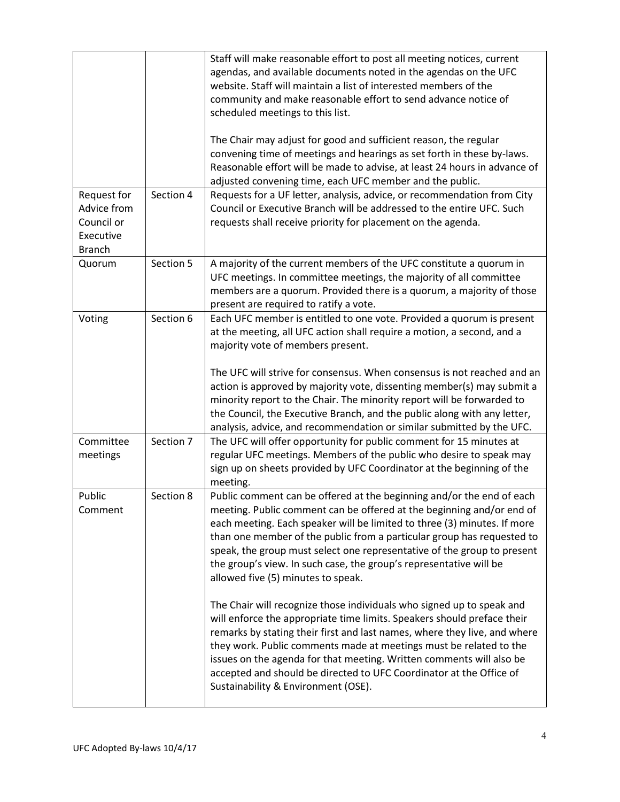| Request for                                             | Section 4 | Staff will make reasonable effort to post all meeting notices, current<br>agendas, and available documents noted in the agendas on the UFC<br>website. Staff will maintain a list of interested members of the<br>community and make reasonable effort to send advance notice of<br>scheduled meetings to this list.<br>The Chair may adjust for good and sufficient reason, the regular<br>convening time of meetings and hearings as set forth in these by-laws.<br>Reasonable effort will be made to advise, at least 24 hours in advance of<br>adjusted convening time, each UFC member and the public.<br>Requests for a UF letter, analysis, advice, or recommendation from City                                                                                                                                                                                                                                                                                                   |
|---------------------------------------------------------|-----------|------------------------------------------------------------------------------------------------------------------------------------------------------------------------------------------------------------------------------------------------------------------------------------------------------------------------------------------------------------------------------------------------------------------------------------------------------------------------------------------------------------------------------------------------------------------------------------------------------------------------------------------------------------------------------------------------------------------------------------------------------------------------------------------------------------------------------------------------------------------------------------------------------------------------------------------------------------------------------------------|
| Advice from<br>Council or<br>Executive<br><b>Branch</b> |           | Council or Executive Branch will be addressed to the entire UFC. Such<br>requests shall receive priority for placement on the agenda.                                                                                                                                                                                                                                                                                                                                                                                                                                                                                                                                                                                                                                                                                                                                                                                                                                                    |
| Quorum                                                  | Section 5 | A majority of the current members of the UFC constitute a quorum in<br>UFC meetings. In committee meetings, the majority of all committee<br>members are a quorum. Provided there is a quorum, a majority of those<br>present are required to ratify a vote.                                                                                                                                                                                                                                                                                                                                                                                                                                                                                                                                                                                                                                                                                                                             |
| Voting                                                  | Section 6 | Each UFC member is entitled to one vote. Provided a quorum is present<br>at the meeting, all UFC action shall require a motion, a second, and a<br>majority vote of members present.<br>The UFC will strive for consensus. When consensus is not reached and an<br>action is approved by majority vote, dissenting member(s) may submit a<br>minority report to the Chair. The minority report will be forwarded to<br>the Council, the Executive Branch, and the public along with any letter,<br>analysis, advice, and recommendation or similar submitted by the UFC.                                                                                                                                                                                                                                                                                                                                                                                                                 |
| Committee<br>meetings                                   | Section 7 | The UFC will offer opportunity for public comment for 15 minutes at<br>regular UFC meetings. Members of the public who desire to speak may<br>sign up on sheets provided by UFC Coordinator at the beginning of the<br>meeting.                                                                                                                                                                                                                                                                                                                                                                                                                                                                                                                                                                                                                                                                                                                                                          |
| Public<br>Comment                                       | Section 8 | Public comment can be offered at the beginning and/or the end of each<br>meeting. Public comment can be offered at the beginning and/or end of<br>each meeting. Each speaker will be limited to three (3) minutes. If more<br>than one member of the public from a particular group has requested to<br>speak, the group must select one representative of the group to present<br>the group's view. In such case, the group's representative will be<br>allowed five (5) minutes to speak.<br>The Chair will recognize those individuals who signed up to speak and<br>will enforce the appropriate time limits. Speakers should preface their<br>remarks by stating their first and last names, where they live, and where<br>they work. Public comments made at meetings must be related to the<br>issues on the agenda for that meeting. Written comments will also be<br>accepted and should be directed to UFC Coordinator at the Office of<br>Sustainability & Environment (OSE). |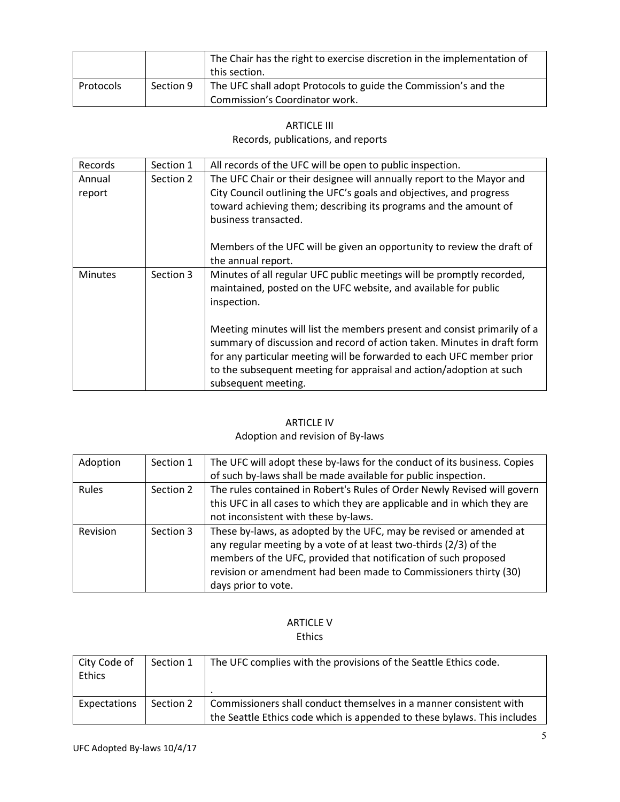|           |           | The Chair has the right to exercise discretion in the implementation of<br>this section.          |
|-----------|-----------|---------------------------------------------------------------------------------------------------|
| Protocols | Section 9 | The UFC shall adopt Protocols to guide the Commission's and the<br>Commission's Coordinator work. |

### ARTICLE III Records, publications, and reports

| Records          | Section 1 | All records of the UFC will be open to public inspection.                                                                                                                                                                                                                                                                  |
|------------------|-----------|----------------------------------------------------------------------------------------------------------------------------------------------------------------------------------------------------------------------------------------------------------------------------------------------------------------------------|
| Annual<br>report | Section 2 | The UFC Chair or their designee will annually report to the Mayor and<br>City Council outlining the UFC's goals and objectives, and progress<br>toward achieving them; describing its programs and the amount of<br>business transacted.                                                                                   |
|                  |           | Members of the UFC will be given an opportunity to review the draft of<br>the annual report.                                                                                                                                                                                                                               |
| <b>Minutes</b>   | Section 3 | Minutes of all regular UFC public meetings will be promptly recorded,<br>maintained, posted on the UFC website, and available for public<br>inspection.                                                                                                                                                                    |
|                  |           | Meeting minutes will list the members present and consist primarily of a<br>summary of discussion and record of action taken. Minutes in draft form<br>for any particular meeting will be forwarded to each UFC member prior<br>to the subsequent meeting for appraisal and action/adoption at such<br>subsequent meeting. |

## ARTICLE IV

## Adoption and revision of By-laws

| Adoption | Section 1 | The UFC will adopt these by-laws for the conduct of its business. Copies<br>of such by-laws shall be made available for public inspection.                                                                                                                                                            |
|----------|-----------|-------------------------------------------------------------------------------------------------------------------------------------------------------------------------------------------------------------------------------------------------------------------------------------------------------|
| Rules    | Section 2 | The rules contained in Robert's Rules of Order Newly Revised will govern<br>this UFC in all cases to which they are applicable and in which they are<br>not inconsistent with these by-laws.                                                                                                          |
| Revision | Section 3 | These by-laws, as adopted by the UFC, may be revised or amended at<br>any regular meeting by a vote of at least two-thirds (2/3) of the<br>members of the UFC, provided that notification of such proposed<br>revision or amendment had been made to Commissioners thirty (30)<br>days prior to vote. |

### ARTICLE V Ethics

| City Code of<br>Ethics | Section 1 | The UFC complies with the provisions of the Seattle Ethics code.                                                                               |
|------------------------|-----------|------------------------------------------------------------------------------------------------------------------------------------------------|
| Expectations           | Section 2 | Commissioners shall conduct themselves in a manner consistent with<br>the Seattle Ethics code which is appended to these bylaws. This includes |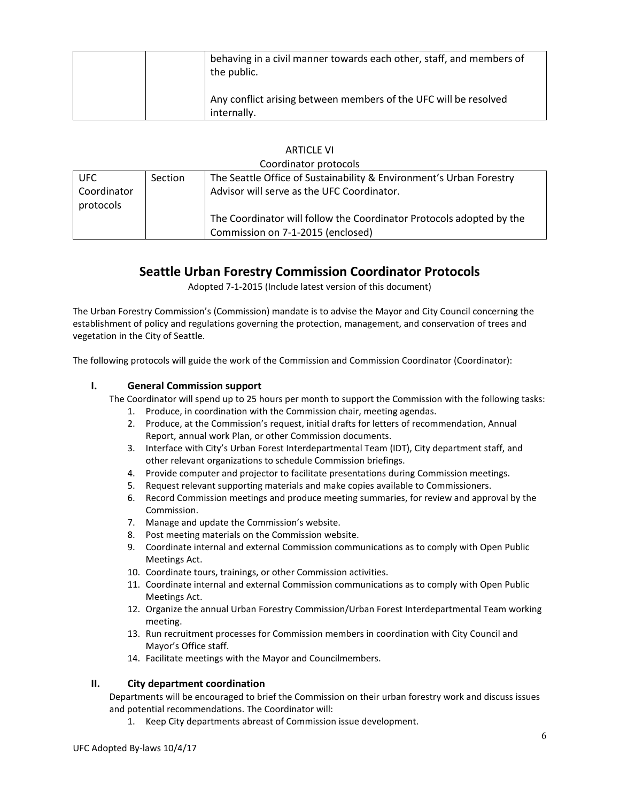| behaving in a civil manner towards each other, staff, and members of<br>the public. |
|-------------------------------------------------------------------------------------|
| Any conflict arising between members of the UFC will be resolved<br>internally.     |

| <b>ARTICLE VI</b> |
|-------------------|
|                   |

| Coordinator protocols |         |                                                                      |
|-----------------------|---------|----------------------------------------------------------------------|
| <b>UFC</b>            | Section | The Seattle Office of Sustainability & Environment's Urban Forestry  |
| Coordinator           |         | Advisor will serve as the UFC Coordinator.                           |
| protocols             |         |                                                                      |
|                       |         | The Coordinator will follow the Coordinator Protocols adopted by the |
|                       |         | Commission on 7-1-2015 (enclosed)                                    |

## **Seattle Urban Forestry Commission Coordinator Protocols**

Adopted 7-1-2015 (Include latest version of this document)

The Urban Forestry Commission's (Commission) mandate is to advise the Mayor and City Council concerning the establishment of policy and regulations governing the protection, management, and conservation of trees and vegetation in the City of Seattle.

The following protocols will guide the work of the Commission and Commission Coordinator (Coordinator):

### **I. General Commission support**

The Coordinator will spend up to 25 hours per month to support the Commission with the following tasks:

- 1. Produce, in coordination with the Commission chair, meeting agendas.
- 2. Produce, at the Commission's request, initial drafts for letters of recommendation, Annual Report, annual work Plan, or other Commission documents.
- 3. Interface with City's Urban Forest Interdepartmental Team (IDT), City department staff, and other relevant organizations to schedule Commission briefings.
- 4. Provide computer and projector to facilitate presentations during Commission meetings.
- 5. Request relevant supporting materials and make copies available to Commissioners.
- 6. Record Commission meetings and produce meeting summaries, for review and approval by the Commission.
- 7. Manage and update the Commission's website.
- 8. Post meeting materials on the Commission website.
- 9. Coordinate internal and external Commission communications as to comply with Open Public Meetings Act.
- 10. Coordinate tours, trainings, or other Commission activities.
- 11. Coordinate internal and external Commission communications as to comply with Open Public Meetings Act.
- 12. Organize the annual Urban Forestry Commission/Urban Forest Interdepartmental Team working meeting.
- 13. Run recruitment processes for Commission members in coordination with City Council and Mayor's Office staff.
- 14. Facilitate meetings with the Mayor and Councilmembers.

#### **II. City department coordination**

Departments will be encouraged to brief the Commission on their urban forestry work and discuss issues and potential recommendations. The Coordinator will:

1. Keep City departments abreast of Commission issue development.